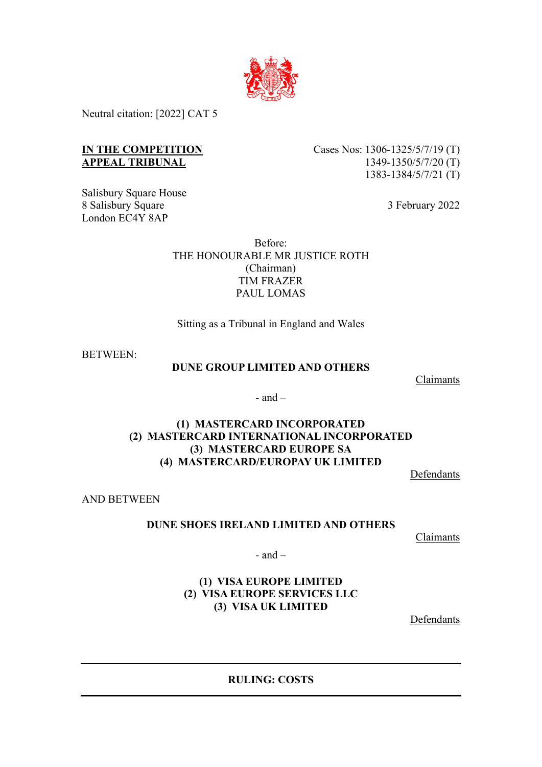

Neutral citation: [2022] CAT 5

## **IN THE COMPETITION APPEAL TRIBUNAL**

Salisbury Square House 8 Salisbury Square London EC4Y 8AP

Cases Nos: 1306-1325/5/7/19 (T) 1349-1350/5/7/20 (T) 1383-1384/5/7/21 (T)

3 February 2022

Before: THE HONOURABLE MR JUSTICE ROTH (Chairman) TIM FRAZER PAUL LOMAS

Sitting as a Tribunal in England and Wales

BETWEEN:

### **DUNE GROUP LIMITED AND OTHERS**

Claimants

 $-$  and  $-$ 

# **(1) MASTERCARD INCORPORATED (2) MASTERCARD INTERNATIONAL INCORPORATED (3) MASTERCARD EUROPE SA (4) MASTERCARD/EUROPAY UK LIMITED**

Defendants

AND BETWEEN

### **DUNE SHOES IRELAND LIMITED AND OTHERS**

Claimants

 $-$  and  $-$ 

## **(1) VISA EUROPE LIMITED (2) VISA EUROPE SERVICES LLC (3) VISA UK LIMITED**

Defendants

**RULING: COSTS**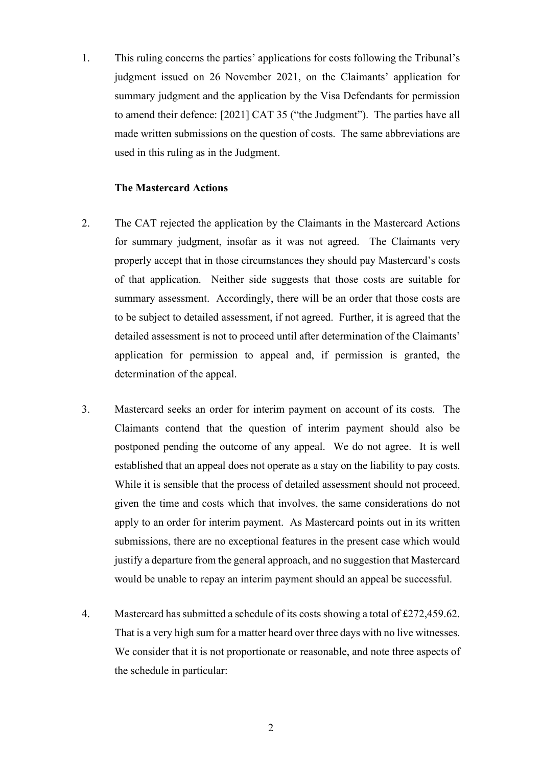1. This ruling concerns the parties' applications for costs following the Tribunal's judgment issued on 26 November 2021, on the Claimants' application for summary judgment and the application by the Visa Defendants for permission to amend their defence: [2021] CAT 35 ("the Judgment"). The parties have all made written submissions on the question of costs. The same abbreviations are used in this ruling as in the Judgment.

### **The Mastercard Actions**

- 2. The CAT rejected the application by the Claimants in the Mastercard Actions for summary judgment, insofar as it was not agreed. The Claimants very properly accept that in those circumstances they should pay Mastercard's costs of that application. Neither side suggests that those costs are suitable for summary assessment. Accordingly, there will be an order that those costs are to be subject to detailed assessment, if not agreed. Further, it is agreed that the detailed assessment is not to proceed until after determination of the Claimants' application for permission to appeal and, if permission is granted, the determination of the appeal.
- 3. Mastercard seeks an order for interim payment on account of its costs. The Claimants contend that the question of interim payment should also be postponed pending the outcome of any appeal. We do not agree. It is well established that an appeal does not operate as a stay on the liability to pay costs. While it is sensible that the process of detailed assessment should not proceed, given the time and costs which that involves, the same considerations do not apply to an order for interim payment. As Mastercard points out in its written submissions, there are no exceptional features in the present case which would justify a departure from the general approach, and no suggestion that Mastercard would be unable to repay an interim payment should an appeal be successful.
- 4. Mastercard has submitted a schedule of its costs showing a total of £272,459.62. That is a very high sum for a matter heard over three days with no live witnesses. We consider that it is not proportionate or reasonable, and note three aspects of the schedule in particular: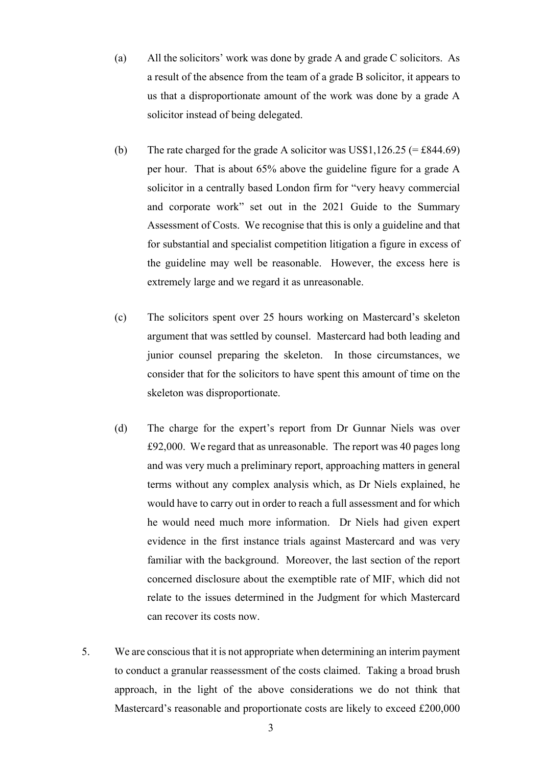- (a) All the solicitors' work was done by grade A and grade C solicitors. As a result of the absence from the team of a grade B solicitor, it appears to us that a disproportionate amount of the work was done by a grade A solicitor instead of being delegated.
- (b) The rate charged for the grade A solicitor was US\$1,126.25 (= £844.69) per hour. That is about 65% above the guideline figure for a grade A solicitor in a centrally based London firm for "very heavy commercial and corporate work" set out in the 2021 Guide to the Summary Assessment of Costs. We recognise that this is only a guideline and that for substantial and specialist competition litigation a figure in excess of the guideline may well be reasonable. However, the excess here is extremely large and we regard it as unreasonable.
- (c) The solicitors spent over 25 hours working on Mastercard's skeleton argument that was settled by counsel. Mastercard had both leading and junior counsel preparing the skeleton. In those circumstances, we consider that for the solicitors to have spent this amount of time on the skeleton was disproportionate.
- (d) The charge for the expert's report from Dr Gunnar Niels was over £92,000. We regard that as unreasonable. The report was 40 pages long and was very much a preliminary report, approaching matters in general terms without any complex analysis which, as Dr Niels explained, he would have to carry out in order to reach a full assessment and for which he would need much more information. Dr Niels had given expert evidence in the first instance trials against Mastercard and was very familiar with the background. Moreover, the last section of the report concerned disclosure about the exemptible rate of MIF, which did not relate to the issues determined in the Judgment for which Mastercard can recover its costs now.
- 5. We are conscious that it is not appropriate when determining an interim payment to conduct a granular reassessment of the costs claimed. Taking a broad brush approach, in the light of the above considerations we do not think that Mastercard's reasonable and proportionate costs are likely to exceed £200,000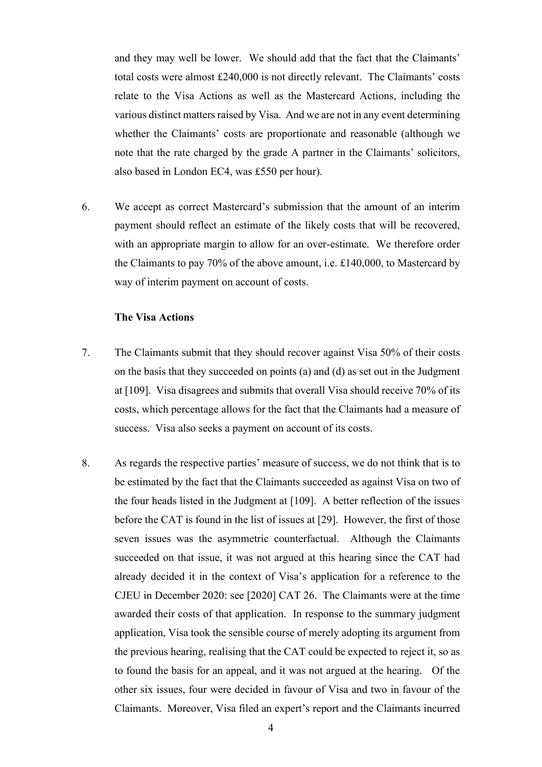and they may well be lower. We should add that the fact that the Claimants' total costs were almost £240,000 is not directly relevant. The Claimants' costs relate to the Visa Actions as well as the Mastercard Actions, including the various distinct matters raised by Visa. And we are not in any event determining whether the Claimants' costs are proportionate and reasonable (although we note that the rate charged by the grade A partner in the Claimants' solicitors, also based in London EC4, was £550 per hour).

6. We accept as correct Mastercard's submission that the amount of an interim payment should reflect an estimate of the likely costs that will be recovered, with an appropriate margin to allow for an over-estimate. We therefore order the Claimants to pay 70% of the above amount, i.e. £140,000, to Mastercard by way of interim payment on account of costs.

#### **The Visa Actions**

- 7. The Claimants submit that they should recover against Visa 50% of their costs on the basis that they succeeded on points (a) and (d) as set out in the Judgment at [109]. Visa disagrees and submits that overall Visa should receive 70% of its costs, which percentage allows for the fact that the Claimants had a measure of success. Visa also seeks a payment on account of its costs.
- 8. As regards the respective parties' measure of success, we do not think that is to be estimated by the fact that the Claimants succeeded as against Visa on two of the four heads listed in the Judgment at [109]. A better reflection of the issues before the CAT is found in the list of issues at [29]. However, the first of those seven issues was the asymmetric counterfactual. Although the Claimants succeeded on that issue, it was not argued at this hearing since the CAT had already decided it in the context of Visa's application for a reference to the CJEU in December 2020: see [2020] CAT 26. The Claimants were at the time awarded their costs of that application. In response to the summary judgment application, Visa took the sensible course of merely adopting its argument from the previous hearing, realising that the CAT could be expected to reject it, so as to found the basis for an appeal, and it was not argued at the hearing. Of the other six issues, four were decided in favour of Visa and two in favour of the Claimants. Moreover, Visa filed an expert's report and the Claimants incurred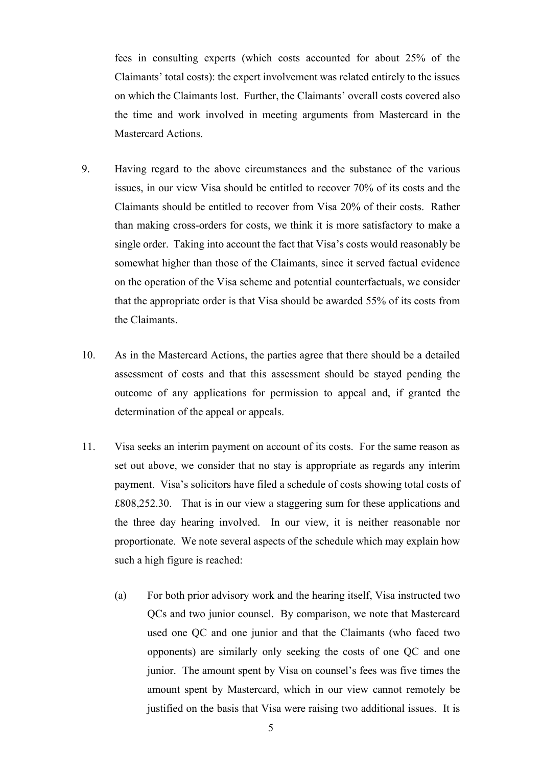fees in consulting experts (which costs accounted for about 25% of the Claimants' total costs): the expert involvement was related entirely to the issues on which the Claimants lost. Further, the Claimants' overall costs covered also the time and work involved in meeting arguments from Mastercard in the Mastercard Actions.

- 9. Having regard to the above circumstances and the substance of the various issues, in our view Visa should be entitled to recover 70% of its costs and the Claimants should be entitled to recover from Visa 20% of their costs. Rather than making cross-orders for costs, we think it is more satisfactory to make a single order. Taking into account the fact that Visa's costs would reasonably be somewhat higher than those of the Claimants, since it served factual evidence on the operation of the Visa scheme and potential counterfactuals, we consider that the appropriate order is that Visa should be awarded 55% of its costs from the Claimants.
- 10. As in the Mastercard Actions, the parties agree that there should be a detailed assessment of costs and that this assessment should be stayed pending the outcome of any applications for permission to appeal and, if granted the determination of the appeal or appeals.
- 11. Visa seeks an interim payment on account of its costs. For the same reason as set out above, we consider that no stay is appropriate as regards any interim payment. Visa's solicitors have filed a schedule of costs showing total costs of £808,252.30. That is in our view a staggering sum for these applications and the three day hearing involved. In our view, it is neither reasonable nor proportionate. We note several aspects of the schedule which may explain how such a high figure is reached:
	- (a) For both prior advisory work and the hearing itself, Visa instructed two QCs and two junior counsel. By comparison, we note that Mastercard used one QC and one junior and that the Claimants (who faced two opponents) are similarly only seeking the costs of one QC and one junior. The amount spent by Visa on counsel's fees was five times the amount spent by Mastercard, which in our view cannot remotely be justified on the basis that Visa were raising two additional issues. It is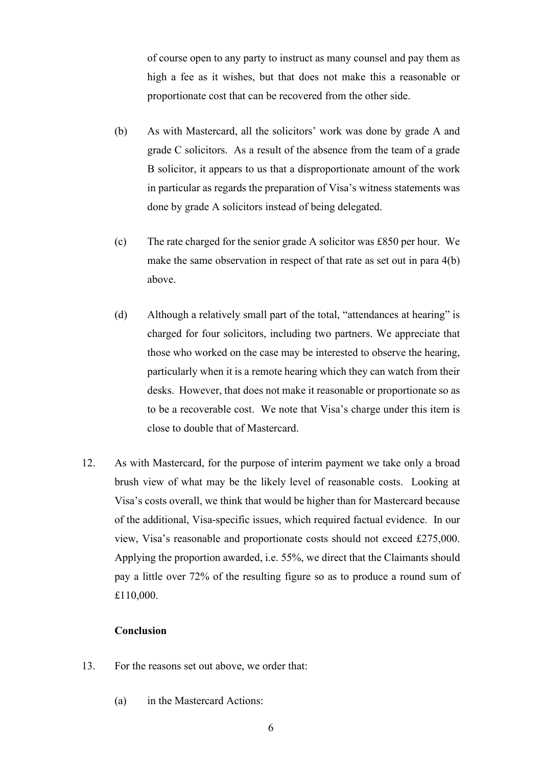of course open to any party to instruct as many counsel and pay them as high a fee as it wishes, but that does not make this a reasonable or proportionate cost that can be recovered from the other side.

- (b) As with Mastercard, all the solicitors' work was done by grade A and grade C solicitors. As a result of the absence from the team of a grade B solicitor, it appears to us that a disproportionate amount of the work in particular as regards the preparation of Visa's witness statements was done by grade A solicitors instead of being delegated.
- (c) The rate charged for the senior grade A solicitor was £850 per hour. We make the same observation in respect of that rate as set out in para 4(b) above.
- (d) Although a relatively small part of the total, "attendances at hearing" is charged for four solicitors, including two partners. We appreciate that those who worked on the case may be interested to observe the hearing, particularly when it is a remote hearing which they can watch from their desks. However, that does not make it reasonable or proportionate so as to be a recoverable cost. We note that Visa's charge under this item is close to double that of Mastercard.
- 12. As with Mastercard, for the purpose of interim payment we take only a broad brush view of what may be the likely level of reasonable costs. Looking at Visa's costs overall, we think that would be higher than for Mastercard because of the additional, Visa-specific issues, which required factual evidence. In our view, Visa's reasonable and proportionate costs should not exceed £275,000. Applying the proportion awarded, i.e. 55%, we direct that the Claimants should pay a little over 72% of the resulting figure so as to produce a round sum of £110,000.

#### **Conclusion**

- 13. For the reasons set out above, we order that:
	- (a) in the Mastercard Actions: